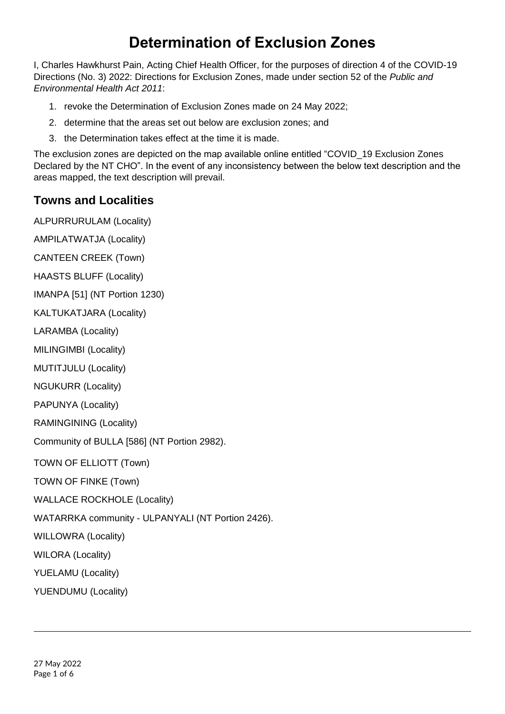# **Determination of Exclusion Zones**

I, Charles Hawkhurst Pain, Acting Chief Health Officer, for the purposes of direction 4 of the COVID-19 Directions (No. 3) 2022: Directions for Exclusion Zones, made under section 52 of the *Public and Environmental Health Act 2011*:

- 1. revoke the Determination of Exclusion Zones made on 24 May 2022;
- 2. determine that the areas set out below are exclusion zones; and
- 3. the Determination takes effect at the time it is made.

The exclusion zones are depicted on the map available online entitled "COVID\_19 Exclusion Zones Declared by the NT CHO". In the event of any inconsistency between the below text description and the areas mapped, the text description will prevail.

# **Towns and Localities**

ALPURRURULAM (Locality)

AMPILATWATJA (Locality) CANTEEN CREEK (Town)

HAASTS BLUFF (Locality)

IMANPA [51] (NT Portion 1230)

KALTUKATJARA (Locality)

LARAMBA (Locality)

MILINGIMBI (Locality)

MUTITJULU (Locality)

NGUKURR (Locality)

PAPUNYA (Locality)

RAMINGINING (Locality)

Community of BULLA [586] (NT Portion 2982).

TOWN OF ELLIOTT (Town)

TOWN OF FINKE (Town)

WALLACE ROCKHOLE (Locality)

WATARRKA community - ULPANYALI (NT Portion 2426).

WILLOWRA (Locality)

WILORA (Locality)

YUELAMU (Locality)

YUENDUMU (Locality)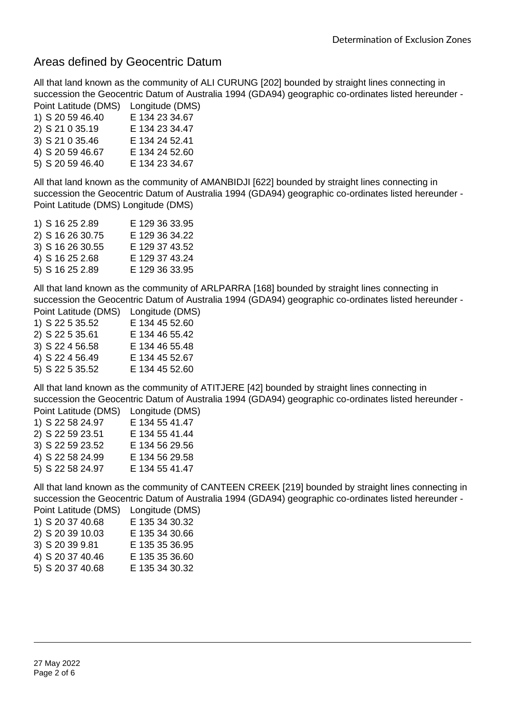### Areas defined by Geocentric Datum

All that land known as the community of ALI CURUNG [202] bounded by straight lines connecting in succession the Geocentric Datum of Australia 1994 (GDA94) geographic co-ordinates listed hereunder - Point Latitude (DMS) Longitude (DMS)

|                  | $-$            |
|------------------|----------------|
| 1) S 20 59 46.40 | E 134 23 34.67 |
| 2) S 21 0 35.19  | E 134 23 34.47 |
| 3) S 21 0 35.46  | E 134 24 52.41 |
| 4) S 20 59 46.67 | E 134 24 52.60 |
| 5) S 20 59 46.40 | E 134 23 34.67 |

All that land known as the community of AMANBIDJI [622] bounded by straight lines connecting in succession the Geocentric Datum of Australia 1994 (GDA94) geographic co-ordinates listed hereunder - Point Latitude (DMS) Longitude (DMS)

|  | 1) S 16 25 2.89  | E 129 36 33.95 |
|--|------------------|----------------|
|  | 2) S 16 26 30.75 | E 129 36 34.22 |
|  | 3) S 16 26 30.55 | E 129 37 43.52 |
|  | 4) S 16 25 2.68  | E 129 37 43.24 |
|  | 5) S 16 25 2.89  | E 129 36 33.95 |
|  |                  |                |

All that land known as the community of ARLPARRA [168] bounded by straight lines connecting in succession the Geocentric Datum of Australia 1994 (GDA94) geographic co-ordinates listed hereunder - Point Latitude (DMS) Longitude (DMS)

| <b>FUILL LATTURE</b> (DIVIS) | LUI IUI IUU (DIVIC |
|------------------------------|--------------------|
| 1) S 22 5 35.52              | E 134 45 52.60     |
| 2) S 22 5 35.61              | E 134 46 55.42     |
| 3) S 22 4 56.58              | E 134 46 55.48     |
| 4) S 22 4 56.49              | E 134 45 52.67     |
| 5) S 22 5 35.52              | E 134 45 52.60     |
|                              |                    |

All that land known as the community of ATITJERE [42] bounded by straight lines connecting in succession the Geocentric Datum of Australia 1994 (GDA94) geographic co-ordinates listed hereunder - Point Latitude (DMS) Longitude (DMS)

| <b>FUILL LATTURE</b> (DIVIO) | LUNG (DIVIO    |
|------------------------------|----------------|
| 1) S 22 58 24.97             | E 134 55 41.47 |
| 2) S 22 59 23.51             | E 134 55 41.44 |
| 3) S 22 59 23.52             | E 134 56 29.56 |
| 4) S 22 58 24.99             | E 134 56 29.58 |
| 5) S 22 58 24.97             | E 134 55 41.47 |
|                              |                |

All that land known as the community of CANTEEN CREEK [219] bounded by straight lines connecting in succession the Geocentric Datum of Australia 1994 (GDA94) geographic co-ordinates listed hereunder - Point Latitude (DMS) Longitude (DMS)

|                  | $-0.09$ $-0.000$ |
|------------------|------------------|
| 1) S 20 37 40.68 | E 135 34 30.32   |
| 2) S 20 39 10.03 | E 135 34 30.66   |

- 3) S 20 39 9.81 E 135 35 36.95
- 4) S 20 37 40.46 E 135 35 36.60
- 5) S 20 37 40.68 E 135 34 30.32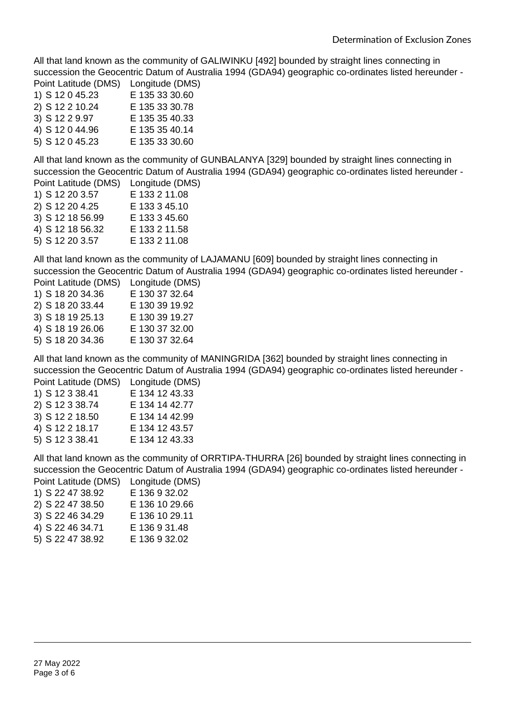All that land known as the community of GALIWINKU [492] bounded by straight lines connecting in succession the Geocentric Datum of Australia 1994 (GDA94) geographic co-ordinates listed hereunder - Point Latitude (DMS) Longitude (DMS)

| POINT Latitude (DIVIS) | Longitude (Divio |
|------------------------|------------------|
| 1) S 12 0 45.23        | E 135 33 30.60   |
| 2) S 12 2 10.24        | E 135 33 30.78   |
| 3) S 12 2 9.97         | E 135 35 40.33   |
| 4) S 12 0 44.96        | E 135 35 40.14   |
| 5) S 12 0 45.23        | E 135 33 30.60   |

All that land known as the community of GUNBALANYA [329] bounded by straight lines connecting in succession the Geocentric Datum of Australia 1994 (GDA94) geographic co-ordinates listed hereunder - Point Latitude (DMS) Longitude (DMS)

| <u>, oliit Latitaas (Divio)</u> | וייש, טטאישייט |
|---------------------------------|----------------|
| 1) S 12 20 3.57                 | E 133 2 11.08  |
| 2) S 12 20 4.25                 | E 133 3 45.10  |
| 3) S 12 18 56.99                | E 133 3 45.60  |
| 4) S 12 18 56.32                | E 133 2 11.58  |
| 5) S 12 20 3.57                 | E 133 2 11.08  |
|                                 |                |

All that land known as the community of LAJAMANU [609] bounded by straight lines connecting in succession the Geocentric Datum of Australia 1994 (GDA94) geographic co-ordinates listed hereunder - Point Latitude (DMS) Longitude (DMS)

| <b>FUILL LATTURE</b> (UNIS) | LUI IGILUU (DIVIC |
|-----------------------------|-------------------|
| 1) S 18 20 34.36            | E 130 37 32.64    |
| 2) S 18 20 33.44            | E 130 39 19.92    |
| 3) S 18 19 25.13            | E 130 39 19.27    |
| 4) S 18 19 26.06            | E 130 37 32.00    |
| 5) S 18 20 34.36            | E 130 37 32.64    |
|                             |                   |

All that land known as the community of MANINGRIDA [362] bounded by straight lines connecting in succession the Geocentric Datum of Australia 1994 (GDA94) geographic co-ordinates listed hereunder - Point Latitude (DMS) Longitude (DMS)

|                 | Lungnuut (Divit |
|-----------------|-----------------|
| 1) S 12 3 38.41 | E 134 12 43.33  |
| 2) S 12 3 38.74 | E 134 14 42.77  |
| 3) S 12 2 18.50 | E 134 14 42.99  |
| 4) S 12 2 18.17 | E 134 12 43.57  |
| 5) S 12 3 38.41 | E 134 12 43.33  |
|                 |                 |

All that land known as the community of ORRTIPA-THURRA [26] bounded by straight lines connecting in succession the Geocentric Datum of Australia 1994 (GDA94) geographic co-ordinates listed hereunder - Point Latitude (DMS) Longitude (DMS)

| FUIIIL LAIILUUU (DIVIO) | Lungitude (Divic |
|-------------------------|------------------|
| 1) S 22 47 38.92        | E 136 9 32.02    |
| 2) S 22 47 38.50        | E 136 10 29.66   |
| 3) S 22 46 34.29        | E 136 10 29.11   |
| 4) S 22 46 34.71        | E 136 9 31.48    |
| 5) S 22 47 38.92        | E 136 9 32.02    |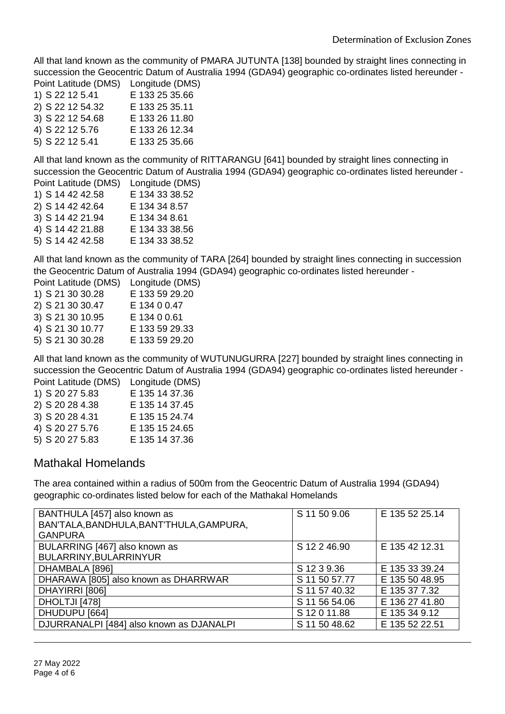All that land known as the community of PMARA JUTUNTA [138] bounded by straight lines connecting in succession the Geocentric Datum of Australia 1994 (GDA94) geographic co-ordinates listed hereunder - Point Latitude (DMS) Longitude (DMS)

| <b>FUILL LATIONE</b> (DIVIO) | LUI IYILUUU (DIVIO |
|------------------------------|--------------------|
| 1) S 22 12 5.41              | E 133 25 35.66     |
| 2) S 22 12 54.32             | E 133 25 35.11     |
| 3) S 22 12 54.68             | E 133 26 11.80     |
| 4) S 22 12 5.76              | E 133 26 12.34     |
| 5) S 22 12 5.41              | E 133 25 35.66     |

All that land known as the community of RITTARANGU [641] bounded by straight lines connecting in succession the Geocentric Datum of Australia 1994 (GDA94) geographic co-ordinates listed hereunder - Point Latitude (DMS) Longitude (DMS)

| ן טוווג במנונטטט (פוניוט | Lungnuut (Divit |
|--------------------------|-----------------|
| 1) S 14 42 42.58         | E 134 33 38.52  |
| 2) S 14 42 42.64         | E 134 34 8.57   |
| 3) S 14 42 21.94         | E 134 34 8.61   |
| 4) S 14 42 21.88         | E 134 33 38.56  |
| 5) S 14 42 42.58         | E 134 33 38.52  |
|                          |                 |

All that land known as the community of TARA [264] bounded by straight lines connecting in succession the Geocentric Datum of Australia 1994 (GDA94) geographic co-ordinates listed hereunder -

| Point Latitude (DMS) | Longitude (DMS) |
|----------------------|-----------------|
| 1) S 21 30 30.28     | E 133 59 29.20  |
| 2) S 21 30 30.47     | E 134 0 0.47    |
| 3) S 21 30 10.95     | E 134 0 0.61    |
| 4) S 21 30 10.77     | E 133 59 29.33  |
| 5) S 21 30 30.28     | E 133 59 29.20  |
|                      |                 |

All that land known as the community of WUTUNUGURRA [227] bounded by straight lines connecting in succession the Geocentric Datum of Australia 1994 (GDA94) geographic co-ordinates listed hereunder - Point Latitude (DMS) Longitude (DMS)

| <b>FUILL LATIOUS (DIVIO)</b> | LUINUUT (DIVIO |
|------------------------------|----------------|
| 1) S 20 27 5.83              | E 135 14 37.36 |
| 2) S 20 28 4.38              | E 135 14 37.45 |
| 3) S 20 28 4.31              | E 135 15 24.74 |
| 4) S 20 27 5.76              | E 135 15 24.65 |
| 5) S 20 27 5.83              | E 135 14 37.36 |

#### Mathakal Homelands

The area contained within a radius of 500m from the Geocentric Datum of Australia 1994 (GDA94) geographic co-ordinates listed below for each of the Mathakal Homelands

| BANTHULA [457] also known as             | S 11 50 9.06  | E 135 52 25.14 |
|------------------------------------------|---------------|----------------|
| BAN'TALA, BANDHULA, BANT'THULA, GAMPURA, |               |                |
| <b>GANPURA</b>                           |               |                |
| BULARRING [467] also known as            | S 12 2 46.90  | E 135 42 12.31 |
| BULARRINY, BULARRINYUR                   |               |                |
| DHAMBALA [896]                           | S 12 3 9.36   | E 135 33 39.24 |
| DHARAWA [805] also known as DHARRWAR     | S 11 50 57.77 | E 135 50 48.95 |
| DHAYIRRI [806]                           | S 11 57 40.32 | E 135 37 7.32  |
| DHOLTJI [478]                            | S 11 56 54.06 | E 136 27 41.80 |
| DHUDUPU [664]                            | S 12 0 11.88  | E 135 34 9.12  |
| DJURRANALPI [484] also known as DJANALPI | S 11 50 48.62 | E 135 52 22.51 |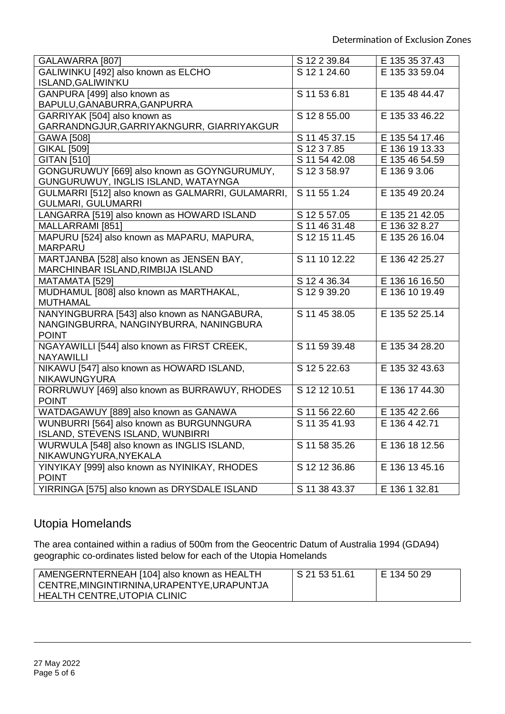| GALAWARRA [807]                                   | S 12 2 39.84               | E 135 35 37.43 |
|---------------------------------------------------|----------------------------|----------------|
| GALIWINKU [492] also known as ELCHO               | S 12 1 24.60               | E 135 33 59.04 |
| <b>ISLAND, GALIWIN'KU</b>                         |                            |                |
| GANPURA [499] also known as                       | S 11 53 6.81               | E 135 48 44.47 |
| BAPULU, GANABURRA, GANPURRA                       |                            |                |
| GARRIYAK [504] also known as                      | S 12 8 55.00               | E 135 33 46.22 |
| GARRANDNGJUR, GARRIYAKNGURR, GIARRIYAKGUR         |                            |                |
| GAWA [508]                                        | S 11 45 37.15              | E 135 54 17.46 |
| <b>GIKAL [509]</b>                                | S 12 3 7.85                | E 136 19 13.33 |
| <b>GITAN [510]</b>                                | S 11 54 42.08              | E 135 46 54.59 |
| GONGURUWUY [669] also known as GOYNGURUMUY,       | S 12 3 58.97               | E 136 9 3.06   |
| GUNGURUWUY, INGLIS ISLAND, WATAYNGA               |                            |                |
| GULMARRI [512] also known as GALMARRI, GULAMARRI, | S 11 55 1.24               | E 135 49 20.24 |
| <b>GULMARI, GULUMARRI</b>                         |                            |                |
| LANGARRA [519] also known as HOWARD ISLAND        | S 12 5 57.05               | E 135 21 42.05 |
| MALLARRAMI [851]                                  | S 11 46 31.48              | E 136 32 8.27  |
| MAPURU [524] also known as MAPARU, MAPURA,        | $\overline{S}$ 12 15 11.45 | E 135 26 16.04 |
| <b>MARPARU</b>                                    |                            |                |
| MARTJANBA [528] also known as JENSEN BAY,         | S 11 10 12.22              | E 136 42 25.27 |
| MARCHINBAR ISLAND, RIMBIJA ISLAND                 |                            |                |
| MATAMATA [529]                                    | S 12 4 36.34               | E 136 16 16.50 |
| MUDHAMUL [808] also known as MARTHAKAL,           | S 12 9 39.20               | E 136 10 19.49 |
| <b>MUTHAMAL</b>                                   |                            |                |
| NANYINGBURRA [543] also known as NANGABURA,       | S 11 45 38.05              | E 135 52 25.14 |
| NANGINGBURRA, NANGINYBURRA, NANINGBURA            |                            |                |
| <b>POINT</b>                                      |                            |                |
| NGAYAWILLI [544] also known as FIRST CREEK,       | S 11 59 39.48              | E 135 34 28.20 |
| <b>NAYAWILLI</b>                                  |                            |                |
| NIKAWU [547] also known as HOWARD ISLAND,         | S 12 5 22.63               | E 135 32 43.63 |
| <b>NIKAWUNGYURA</b>                               |                            |                |
| RORRUWUY [469] also known as BURRAWUY, RHODES     | S 12 12 10.51              | E 136 17 44.30 |
| <b>POINT</b>                                      |                            |                |
| WATDAGAWUY [889] also known as GANAWA             | S 11 56 22.60              | E 135 42 2.66  |
| WUNBURRI [564] also known as BURGUNNGURA          | S 11 35 41.93              | E 136 4 42.71  |
| ISLAND, STEVENS ISLAND, WUNBIRRI                  |                            |                |
| WURWULA [548] also known as INGLIS ISLAND,        | S 11 58 35.26              | E 136 18 12.56 |
| NIKAWUNGYURA, NYEKALA                             |                            |                |
| YINYIKAY [999] also known as NYINIKAY, RHODES     | S 12 12 36.86              | E 136 13 45.16 |
| <b>POINT</b>                                      |                            |                |
| YIRRINGA [575] also known as DRYSDALE ISLAND      | S 11 38 43.37              | E 136 1 32.81  |

## Utopia Homelands

The area contained within a radius of 500m from the Geocentric Datum of Australia 1994 (GDA94) geographic co-ordinates listed below for each of the Utopia Homelands

| AMENGERNTERNEAH [104] also known as HEALTH | l S 21 53 51.61 | E 134 50 29 |
|--------------------------------------------|-----------------|-------------|
| CENTRE,MINGINTIRNINA,URAPENTYE,URAPUNTJA   |                 |             |
| HEALTH CENTRE,UTOPIA CLINIC                |                 |             |